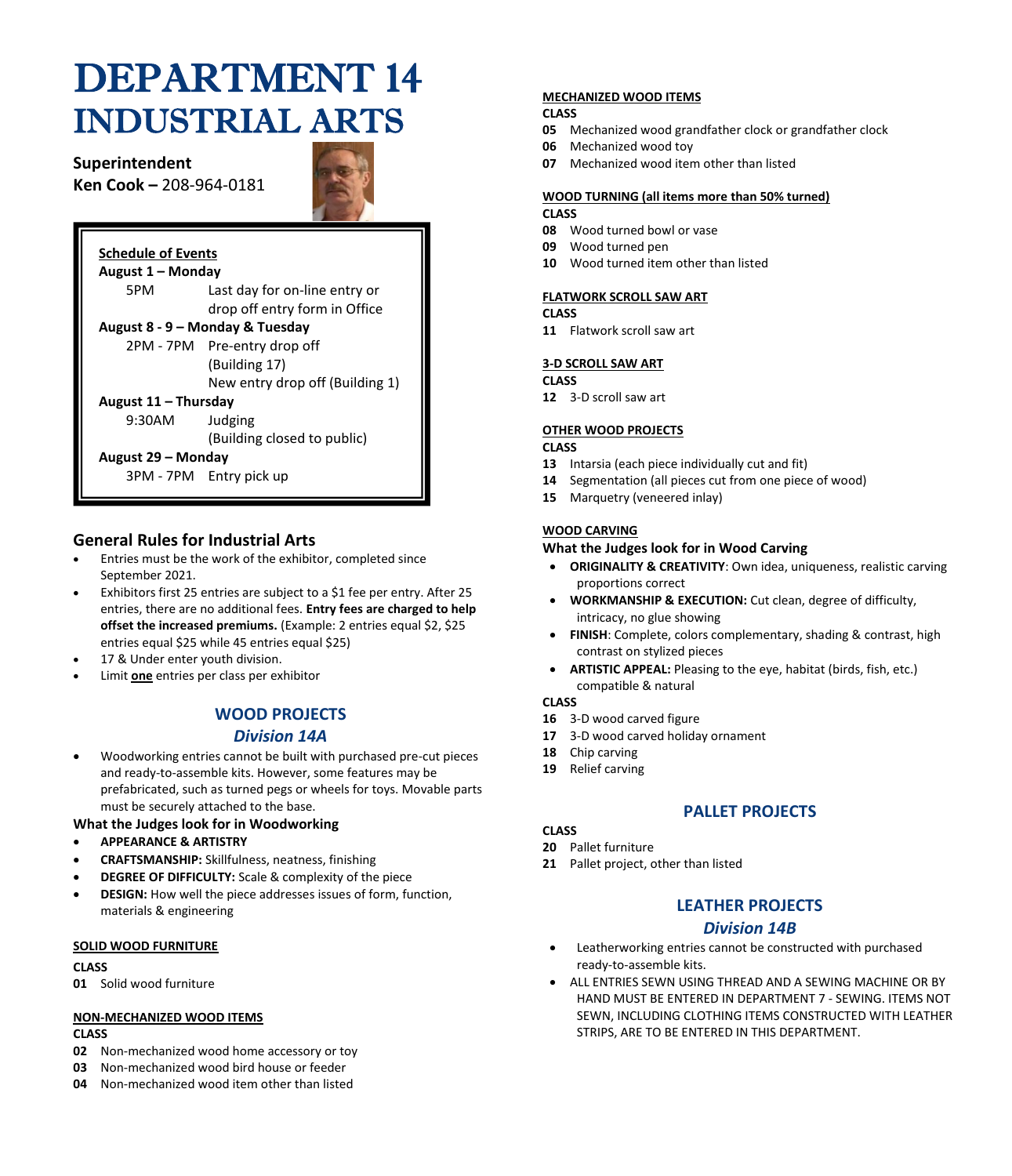# DEPARTMENT 14 INDUSTRIAL ARTS

# **Superintendent**

**Ken Cook –** 208-964-0181



# **Schedule of Events**

| August 1 - Monday               |                                 |
|---------------------------------|---------------------------------|
| 5PM                             | Last day for on-line entry or   |
|                                 | drop off entry form in Office   |
| August 8 - 9 - Monday & Tuesday |                                 |
|                                 | 2PM - 7PM Pre-entry drop off    |
|                                 | (Building 17)                   |
|                                 | New entry drop off (Building 1) |
| August 11 – Thursday            |                                 |
| 9:30AM                          | Judging                         |
|                                 | (Building closed to public)     |
| August 29 – Monday              |                                 |
|                                 | 3PM - 7PM Entry pick up         |

# **General Rules for Industrial Arts**

- Entries must be the work of the exhibitor, completed since September 2021.
- Exhibitors first 25 entries are subject to a \$1 fee per entry. After 25 entries, there are no additional fees. **Entry fees are charged to help offset the increased premiums.** (Example: 2 entries equal \$2, \$25 entries equal \$25 while 45 entries equal \$25)
- 17 & Under enter youth division.
- Limit **one** entries per class per exhibitor

# **WOOD PROJECTS**

# *Division 14A*

• Woodworking entries cannot be built with purchased pre-cut pieces and ready-to-assemble kits. However, some features may be prefabricated, such as turned pegs or wheels for toys. Movable parts must be securely attached to the base.

#### **What the Judges look for in Woodworking**

- **APPEARANCE & ARTISTRY**
- **CRAFTSMANSHIP:** Skillfulness, neatness, finishing
- **DEGREE OF DIFFICULTY:** Scale & complexity of the piece
- **DESIGN:** How well the piece addresses issues of form, function, materials & engineering

#### **SOLID WOOD FURNITURE**

## **CLASS**

**01** Solid wood furniture

#### **NON-MECHANIZED WOOD ITEMS**

#### **CLASS**

- **02** Non-mechanized wood home accessory or toy
- **03** Non-mechanized wood bird house or feeder
- **04** Non-mechanized wood item other than listed

## **MECHANIZED WOOD ITEMS**

#### **CLASS**

- **05** Mechanized wood grandfather clock or grandfather clock
- **06** Mechanized wood toy
- **07** Mechanized wood item other than listed

#### **WOOD TURNING (all items more than 50% turned) CLASS**

- **08** Wood turned bowl or vase
- **09** Wood turned pen
- **10** Wood turned item other than listed

# **FLATWORK SCROLL SAW ART**

### **CLASS**

**11** Flatwork scroll saw art

#### **3-D SCROLL SAW ART**

**CLASS**

**12** 3-D scroll saw art

## **OTHER WOOD PROJECTS**

#### **CLASS**

- **13** Intarsia (each piece individually cut and fit)
- **14** Segmentation (all pieces cut from one piece of wood)
- **15** Marquetry (veneered inlay)

#### **WOOD CARVING**

## **What the Judges look for in Wood Carving**

- **ORIGINALITY & CREATIVITY**: Own idea, uniqueness, realistic carving proportions correct
- **WORKMANSHIP & EXECUTION:** Cut clean, degree of difficulty, intricacy, no glue showing
- **FINISH**: Complete, colors complementary, shading & contrast, high contrast on stylized pieces
- **ARTISTIC APPEAL:** Pleasing to the eye, habitat (birds, fish, etc.) compatible & natural

**CLASS**

- **16** 3-D wood carved figure
- **17** 3-D wood carved holiday ornament
- **18** Chip carving
- **19** Relief carving

# **PALLET PROJECTS**

# **CLASS**

- **20** Pallet furniture
- **21** Pallet project, other than listed

# **LEATHER PROJECTS**

# *Division 14B*

- Leatherworking entries cannot be constructed with purchased ready-to-assemble kits.
- ALL ENTRIES SEWN USING THREAD AND A SEWING MACHINE OR BY HAND MUST BE ENTERED IN DEPARTMENT 7 - SEWING. ITEMS NOT SEWN, INCLUDING CLOTHING ITEMS CONSTRUCTED WITH LEATHER STRIPS, ARE TO BE ENTERED IN THIS DEPARTMENT.